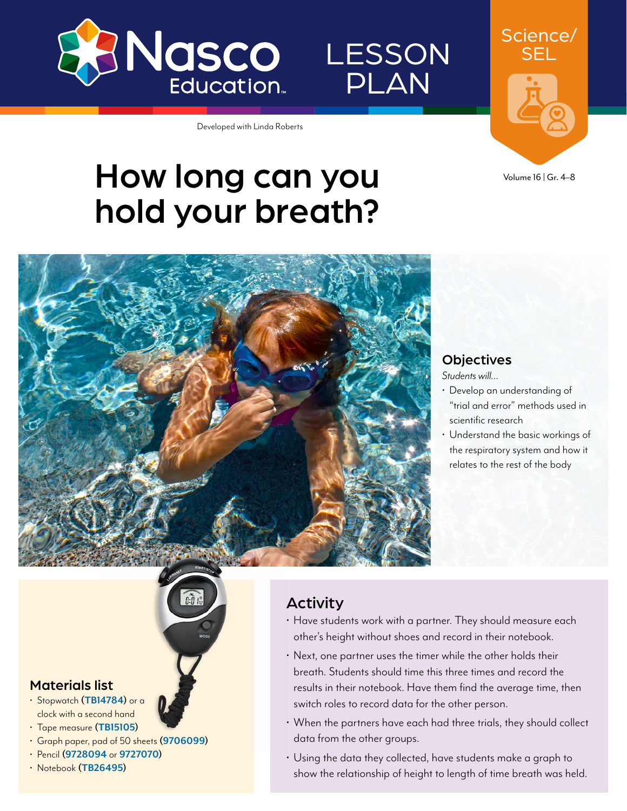

**LESSON** PLAN

SEL

Science/

Developed with Linda Roberts

# How long can you hold your breath?





*Students will…*

- Develop an understanding of "trial and error" methods used in scientific research
- Understand the basic workings of the respiratory system and how it relates to the rest of the body

#### Materials list

- Stopwatch **([TB14784](https://www.enasco.com/p/TB14784))** or a clock with a second hand
- Tape measure **[\(TB15105\)](https://www.enasco.com/p/TB15105)**
- Graph paper, pad of 50 sheets **[\(9706099\)](https://www.enasco.com/p/9706099)**
- Pencil **[\(9728094](https://www.enasco.com/p/9728094)** or **[9727070\)](https://www.enasco.com/p/9727070)**
- Notebook **([TB26495\)](https://www.enasco.com/p/TB26495)**

### Activity

- Have students work with a partner. They should measure each other's height without shoes and record in their notebook.
- Next, one partner uses the timer while the other holds their breath. Students should time this three times and record the results in their notebook. Have them find the average time, then switch roles to record data for the other person.
- When the partners have each had three trials, they should collect data from the other groups.
- Using the data they collected, have students make a graph to show the relationship of height to length of time breath was held.